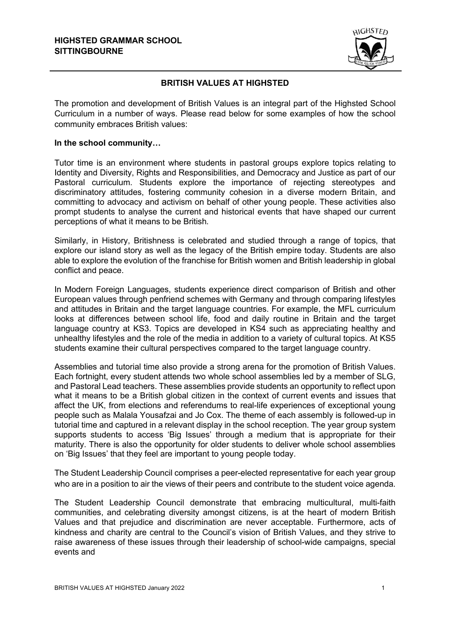

## **BRITISH VALUES AT HIGHSTED**

The promotion and development of British Values is an integral part of the Highsted School Curriculum in a number of ways. Please read below for some examples of how the school community embraces British values:

## **In the school community…**

Tutor time is an environment where students in pastoral groups explore topics relating to Identity and Diversity, Rights and Responsibilities, and Democracy and Justice as part of our Pastoral curriculum. Students explore the importance of rejecting stereotypes and discriminatory attitudes, fostering community cohesion in a diverse modern Britain, and committing to advocacy and activism on behalf of other young people. These activities also prompt students to analyse the current and historical events that have shaped our current perceptions of what it means to be British*.*

Similarly, in History, Britishness is celebrated and studied through a range of topics, that explore our island story as well as the legacy of the British empire today. Students are also able to explore the evolution of the franchise for British women and British leadership in global conflict and peace.

In Modern Foreign Languages, students experience direct comparison of British and other European values through penfriend schemes with Germany and through comparing lifestyles and attitudes in Britain and the target language countries. For example, the MFL curriculum looks at differences between school life, food and daily routine in Britain and the target language country at KS3. Topics are developed in KS4 such as appreciating healthy and unhealthy lifestyles and the role of the media in addition to a variety of cultural topics. At KS5 students examine their cultural perspectives compared to the target language country.

Assemblies and tutorial time also provide a strong arena for the promotion of British Values. Each fortnight, every student attends two whole school assemblies led by a member of SLG, and Pastoral Lead teachers. These assemblies provide students an opportunity to reflect upon what it means to be a British global citizen in the context of current events and issues that affect the UK, from elections and referendums to real-life experiences of exceptional young people such as Malala Yousafzai and Jo Cox. The theme of each assembly is followed-up in tutorial time and captured in a relevant display in the school reception. The year group system supports students to access 'Big Issues' through a medium that is appropriate for their maturity. There is also the opportunity for older students to deliver whole school assemblies on 'Big Issues' that they feel are important to young people today.

The Student Leadership Council comprises a peer-elected representative for each year group who are in a position to air the views of their peers and contribute to the student voice agenda.

The Student Leadership Council demonstrate that embracing multicultural, multi-faith communities, and celebrating diversity amongst citizens, is at the heart of modern British Values and that prejudice and discrimination are never acceptable. Furthermore, acts of kindness and charity are central to the Council's vision of British Values, and they strive to raise awareness of these issues through their leadership of school-wide campaigns, special events and